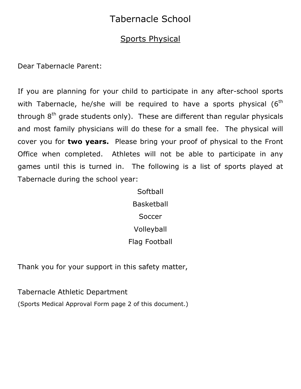## Tabernacle School

## Sports Physical

Dear Tabernacle Parent:

If you are planning for your child to participate in any after-school sports with Tabernacle, he/she will be required to have a sports physical  $(6<sup>th</sup>$ through  $8<sup>th</sup>$  grade students only). These are different than regular physicals and most family physicians will do these for a small fee. The physical will cover you for **two years.** Please bring your proof of physical to the Front Office when completed. Athletes will not be able to participate in any games until this is turned in. The following is a list of sports played at Tabernacle during the school year:

> Softball Basketball **Soccer** Volleyball Flag Football

Thank you for your support in this safety matter,

Tabernacle Athletic Department

(Sports Medical Approval Form page 2 of this document.)